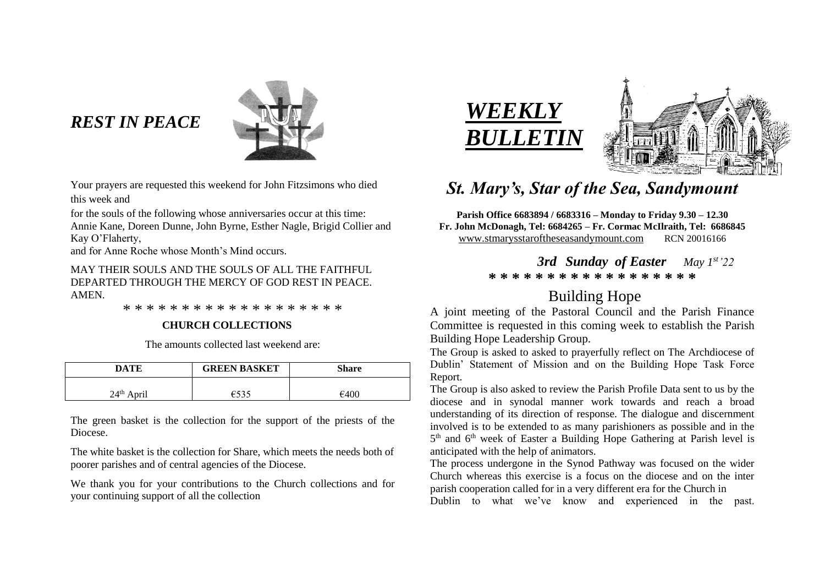# *REST IN PEACE*



Your prayers are requested this weekend for John Fitzsimons who died this week and

for the souls of the following whose anniversaries occur at this time: Annie Kane, Doreen Dunne, John Byrne, Esther Nagle, Brigid Collier and Kay O'Flaherty,

and for Anne Roche whose Month's Mind occurs.

# MAY THEIR SOULS AND THE SOULS OF ALL THE FAITHFUL DEPARTED THROUGH THE MERCY OF GOD REST IN PEACE. AMEN.

\* \* \* \* \* \* \* \* \* \* \* \* \* \* \* \* \* \* \*

# **CHURCH COLLECTIONS**

The amounts collected last weekend are:

| DATE         | <b>GREEN BASKET</b> | Share |
|--------------|---------------------|-------|
| $24th$ April |                     | €400  |

The green basket is the collection for the support of the priests of the Diocese.

The white basket is the collection for Share, which meets the needs both of poorer parishes and of central agencies of the Diocese.

We thank you for your contributions to the Church collections and for your continuing support of all the collection





# *St. Mary's, Star of the Sea, Sandymount*

**Parish Office 6683894 / 6683316 – Monday to Friday 9.30 – 12.30 Fr. John McDonagh, Tel: 6684265 – Fr. Cormac McIlraith, Tel: 6686845** [www.stmarysstaroftheseasandymount.com](http://www.stmarysstaroftheseasandymount.com/) RCN 20016166

> *3rd Sunday of Easter May 1st'22* **\* \* \* \* \* \* \* \* \* \* \* \* \* \* \* \* \* \***

# Building Hope

A joint meeting of the Pastoral Council and the Parish Finance Committee is requested in this coming week to establish the Parish Building Hope Leadership Group.

The Group is asked to asked to prayerfully reflect on The Archdiocese of Dublin' Statement of Mission and on the Building Hope Task Force Report.

The Group is also asked to review the Parish Profile Data sent to us by the diocese and in synodal manner work towards and reach a broad understanding of its direction of response. The dialogue and discernment involved is to be extended to as many parishioners as possible and in the 5<sup>th</sup> and 6<sup>th</sup> week of Easter a Building Hope Gathering at Parish level is anticipated with the help of animators.

The process undergone in the Synod Pathway was focused on the wider Church whereas this exercise is a focus on the diocese and on the inter parish cooperation called for in a very different era for the Church in Dublin to what we've know and experienced in the past.